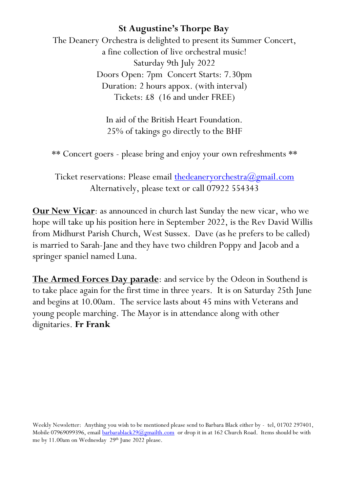The Deanery Orchestra is delighted to present its Summer Concert, a fine collection of live orchestral music! Saturday 9th July 2022 Doors Open: 7pm Concert Starts: 7.30pm Duration: 2 hours appox. (with interval) Tickets: £8 (16 and under FREE)

> In aid of the British Heart Foundation. 25% of takings go directly to the BHF

\*\* Concert goers - please bring and enjoy your own refreshments \*\*

Ticket reservations: Please email the deanery orchestra  $\omega$ gmail.com Alternatively, please text or call 07922 554343

**Our New Vicar**: as announced in church last Sunday the new vicar, who we hope will take up his position here in September 2022, is the Rev David Willis from Midhurst Parish Church, West Sussex. Dave (as he prefers to be called) is married to Sarah-Jane and they have two children Poppy and Jacob and a springer spaniel named Luna.

**The Armed Forces Day parade**: and service by the Odeon in Southend is to take place again for the first time in three years. It is on Saturday 25th June and begins at 10.00am. The service lasts about 45 mins with Veterans and young people marching. The Mayor is in attendance along with other dignitaries. **Fr Frank**

Weekly Newsletter: Anything you wish to be mentioned please send to Barbara Black either by - tel, 01702 297401, Mobile 07969099396, emai[l barbarablack29@gmailth.com](mailto:barbarablack29@gmailth.com) or drop it in at 162 Church Road. Items should be with me by 11.00am on Wednesday 29<sup>th</sup> June 2022 please.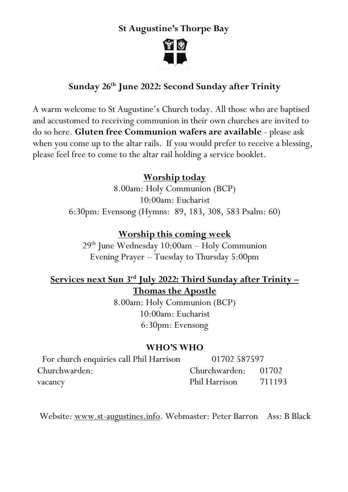

### **Sunday 26th June 2022: Second Sunday after Trinity**

A warm welcome to St Augustine's Church today. All those who are baptised and accustomed to receiving communion in their own churches are invited to do so here. **Gluten free Communion wafers are available** - please ask when you come up to the altar rails. If you would prefer to receive a blessing, please feel free to come to the altar rail holding a service booklet.

#### **Worship today**

8.00am: Holy Communion (BCP) 10:00am: Eucharist 6:30pm: Evensong (Hymns: 89, 183, 308, 583 Psalm: 60)

#### **Worship this coming week**

29 th June Wednesday 10:00am – Holy Communion Evening Prayer – Tuesday to Thursday 5:00pm

# **Services next Sun 3 rd July 2022: Third Sunday after Trinity – Thomas the Apostle**

8.00am: Holy Communion (BCP) 10:00am: Eucharist 6:30pm: Evensong

#### **WHO'S WHO**

| For church enquiries call Phil Harrison | 01702 587597        |        |
|-----------------------------------------|---------------------|--------|
| Churchwarden:                           | Churchwarden: 01702 |        |
| vacancy                                 | Phil Harrison       | 711193 |

Website: [www.st-augustines.info.](http://www.st-augustines.info/) Webmaster: Peter Barron Ass: B Black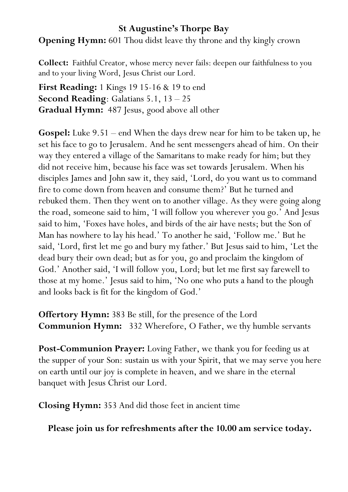**Opening Hymn:** 601 Thou didst leave thy throne and thy kingly crown

**Collect:** Faithful Creator, whose mercy never fails: deepen our faithfulness to you and to your living Word, Jesus Christ our Lord.

**First Reading:** 1 Kings 19 15-16 & 19 to end **Second Reading**: Galatians 5.1, 13 – 25 **Gradual Hymn:** 487 Jesus, good above all other

**Gospel:** Luke 9.51 – end When the days drew near for him to be taken up, he set his face to go to Jerusalem. And he sent messengers ahead of him. On their way they entered a village of the Samaritans to make ready for him; but they did not receive him, because his face was set towards Jerusalem. When his disciples James and John saw it, they said, 'Lord, do you want us to command fire to come down from heaven and consume them?' But he turned and rebuked them. Then they went on to another village. As they were going along the road, someone said to him, 'I will follow you wherever you go.' And Jesus said to him, 'Foxes have holes, and birds of the air have nests; but the Son of Man has nowhere to lay his head.' To another he said, 'Follow me.' But he said, 'Lord, first let me go and bury my father.' But Jesus said to him, 'Let the dead bury their own dead; but as for you, go and proclaim the kingdom of God.' Another said, 'I will follow you, Lord; but let me first say farewell to those at my home.' Jesus said to him, 'No one who puts a hand to the plough and looks back is fit for the kingdom of God.'

**Offertory Hymn:** 383 Be still, for the presence of the Lord **Communion Hymn:** 332 Wherefore, O Father, we thy humble servants

**Post-Communion Prayer:** Loving Father, we thank you for feeding us at the supper of your Son: sustain us with your Spirit, that we may serve you here on earth until our joy is complete in heaven, and we share in the eternal banquet with Jesus Christ our Lord.

**Closing Hymn:** 353 And did those feet in ancient time

**Please join us for refreshments after the 10.00 am service today.**